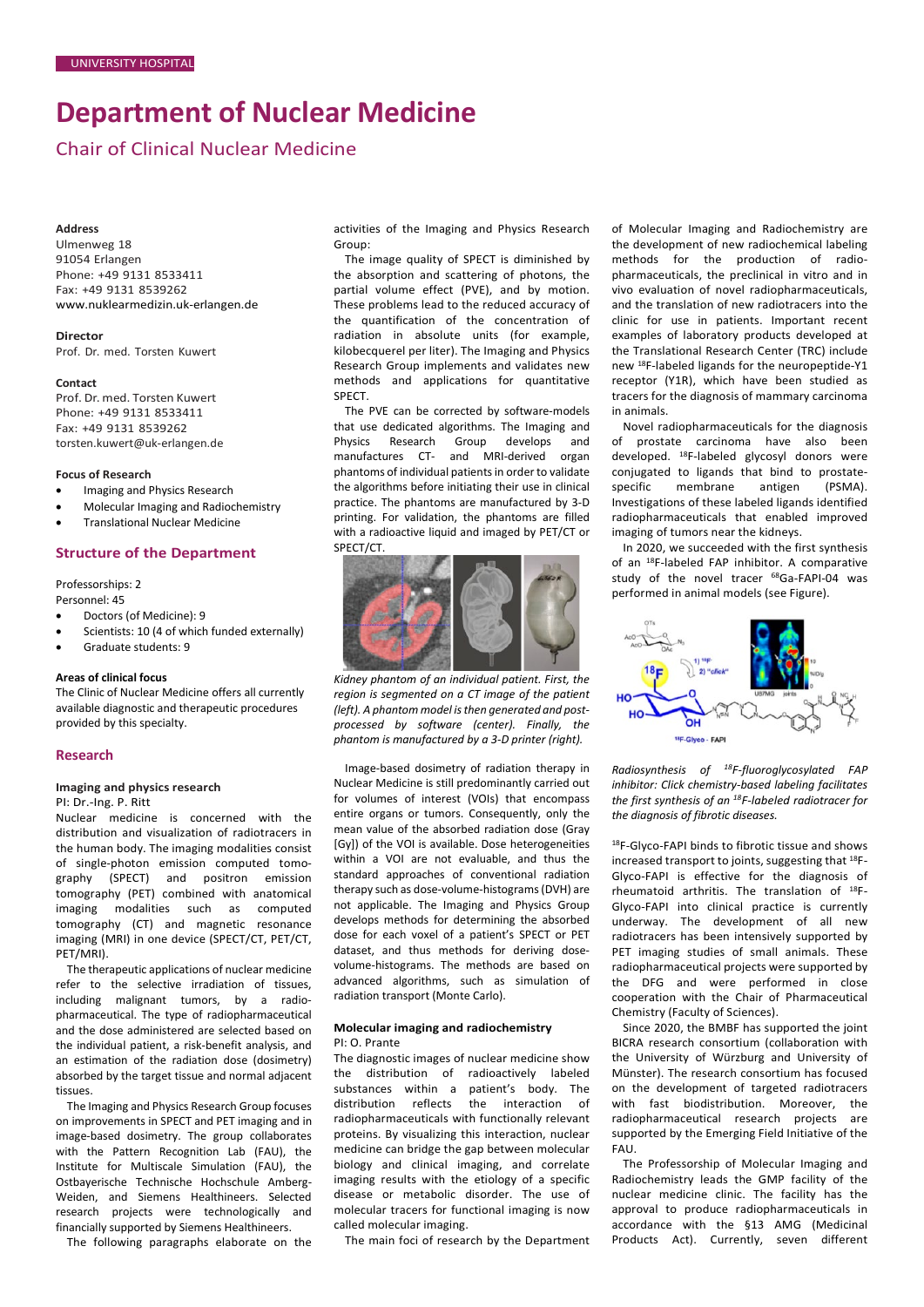# **Department of Nuclear Medicine**

Chair of Clinical Nuclear Medicine

#### **Address**

Ulmenweg 18 91054 Erlangen Phone: +49 9131 8533411 Fax: +49 9131 8539262 [www.nuklearmedizin.uk-erlangen.de](http://www.nuklearmedizin.uk-erlangen.de/)

**Director** Prof. Dr. med. Torsten Kuwert

#### **Contact**

Prof. Dr. med. Torsten Kuwert Phone: +49 9131 8533411 Fax: +49 9131 8539262 [torsten.kuwert@uk-erlangen.de](mailto:torsten.kuwert@uk-erlangen.de)

#### **Focus of Research**

- Imaging and Physics Research
- Molecular Imaging and Radiochemistry
- Translational Nuclear Medicine

# **Structure of the Department**

#### Professorships: 2 Personnel: 45

- Doctors (of Medicine): 9
- Scientists: 10 (4 of which funded externally)
- Graduate students: 9

### **Areas of clinical focus**

The Clinic of Nuclear Medicine offers all currently available diagnostic and therapeutic procedures provided by this specialty.

#### **Research**

#### **Imaging and physics research** PI: Dr.-Ing. P. Ritt

Nuclear medicine is concerned with the distribution and visualization of radiotracers in the human body. The imaging modalities consist of single-photon emission computed tomography (SPECT) and positron emission tomography (PET) combined with anatomical imaging modalities such as computed tomography (CT) and magnetic resonance imaging (MRI) in one device (SPECT/CT, PET/CT, PET/MRI).

The therapeutic applications of nuclear medicine refer to the selective irradiation of tissues, including malignant tumors, by a radiopharmaceutical. The type of radiopharmaceutical and the dose administered are selected based on the individual patient, a risk-benefit analysis, and an estimation of the radiation dose (dosimetry) absorbed by the target tissue and normal adjacent tissues.

The Imaging and Physics Research Group focuses on improvements in SPECT and PET imaging and in image-based dosimetry. The group collaborates with the Pattern Recognition Lab (FAU), the Institute for Multiscale Simulation (FAU), the Ostbayerische Technische Hochschule Amberg-Weiden, and Siemens Healthineers. Selected research projects were technologically and financially supported by Siemens Healthineers.

The following paragraphs elaborate on the

activities of the Imaging and Physics Research Group:

The image quality of SPECT is diminished by the absorption and scattering of photons, the partial volume effect (PVE), and by motion. These problems lead to the reduced accuracy of the quantification of the concentration of radiation in absolute units (for example, kilobecquerel per liter). The Imaging and Physics Research Group implements and validates new methods and applications for quantitative SPECT.

The PVE can be corrected by software-models that use dedicated algorithms. The Imaging and Physics Research Group develops and manufactures CT- and MRI-derived organ phantoms of individual patients in order to validate the algorithms before initiating their use in clinical practice. The phantoms are manufactured by 3-D printing. For validation, the phantoms are filled with a radioactive liquid and imaged by PET/CT or SPECT/CT.



*Kidney phantom of an individual patient. First, the region is segmented on a CT image of the patient (left). A phantom model is then generated and postprocessed by software (center). Finally, the phantom is manufactured by a 3-D printer (right).*

Image-based dosimetry of radiation therapy in Nuclear Medicine is still predominantly carried out for volumes of interest (VOIs) that encompass entire organs or tumors. Consequently, only the mean value of the absorbed radiation dose (Gray [Gy]) of the VOI is available. Dose heterogeneities within a VOI are not evaluable, and thus the standard approaches of conventional radiation therapy such as dose-volume-histograms (DVH) are not applicable. The Imaging and Physics Group develops methods for determining the absorbed dose for each voxel of a patient's SPECT or PET dataset, and thus methods for deriving dosevolume-histograms. The methods are based on advanced algorithms, such as simulation of radiation transport (Monte Carlo).

#### **Molecular imaging and radiochemistry** PI: O. Prante

The diagnostic images of nuclear medicine show the distribution of radioactively labeled substances within a patient's body. The distribution reflects the interaction of radiopharmaceuticals with functionally relevant proteins. By visualizing this interaction, nuclear medicine can bridge the gap between molecular biology and clinical imaging, and correlate imaging results with the etiology of a specific disease or metabolic disorder. The use of molecular tracers for functional imaging is now called molecular imaging.

The main foci of research by the Department

of Molecular Imaging and Radiochemistry are the development of new radiochemical labeling methods for the production of radiopharmaceuticals, the preclinical in vitro and in vivo evaluation of novel radiopharmaceuticals, and the translation of new radiotracers into the clinic for use in patients. Important recent examples of laboratory products developed at the Translational Research Center (TRC) include new 18F-labeled ligands for the neuropeptide-Y1 receptor (Y1R), which have been studied as tracers for the diagnosis of mammary carcinoma in animals.

Novel radiopharmaceuticals for the diagnosis of prostate carcinoma have also been developed. 18F-labeled glycosyl donors were conjugated to ligands that bind to prostatespecific membrane antigen (PSMA). Investigations of these labeled ligands identified radiopharmaceuticals that enabled improved imaging of tumors near the kidneys.

In 2020, we succeeded with the first synthesis of an 18F-labeled FAP inhibitor. A comparative study of the novel tracer <sup>68</sup>Ga-FAPI-04 was performed in animal models (see Figure).



*Radiosynthesis of 18F-fluoroglycosylated FAP inhibitor: Click chemistry-based labeling facilitates the first synthesis of an 18F-labeled radiotracer for the diagnosis of fibrotic diseases.*

18F-Glyco-FAPI binds to fibrotic tissue and shows increased transport to joints, suggesting that 18F-Glyco-FAPI is effective for the diagnosis of rheumatoid arthritis. The translation of 18F-Glyco-FAPI into clinical practice is currently underway. The development of all new radiotracers has been intensively supported by PET imaging studies of small animals. These radiopharmaceutical projects were supported by the DFG and were performed in close cooperation with the Chair of Pharmaceutical Chemistry (Faculty of Sciences).

Since 2020, the BMBF has supported the joint BICRA research consortium (collaboration with the University of Würzburg and University of Münster). The research consortium has focused on the development of targeted radiotracers with fast biodistribution. Moreover, the radiopharmaceutical research projects are supported by the Emerging Field Initiative of the FAU.

The Professorship of Molecular Imaging and Radiochemistry leads the GMP facility of the nuclear medicine clinic. The facility has the approval to produce radiopharmaceuticals in accordance with the §13 AMG (Medicinal Products Act). Currently, seven different